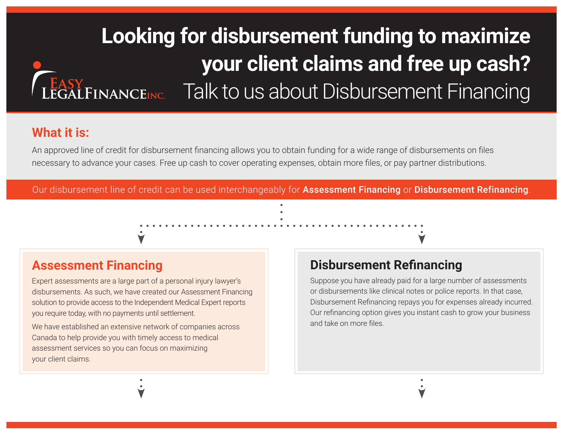# **Looking for disbursement funding to maximize your client claims and free up cash?** LEGALFINANCEINC. Talk to us about Disbursement Financing

## **What it is:**

An approved line of credit for disbursement financing allows you to obtain funding for a wide range of disbursements on files necessary to advance your cases. Free up cash to cover operating expenses, obtain more files, or pay partner distributions.

Our disbursement line of credit can be used interchangeably for Assessment Financing or Disbursement Refinancing.

# **Assessment Financing**

Expert assessments are a large part of a personal injury lawyer's disbursements. As such, we have created our Assessment Financing solution to provide access to the Independent Medical Expert reports you require today, with no payments until settlement.

We have established an extensive network of companies across Canada to help provide you with timely access to medical assessment services so you can focus on maximizing your client claims.

# **Disbursement Refinancing**

Suppose you have already paid for a large number of assessments or disbursements like clinical notes or police reports. In that case, Disbursement Refinancing repays you for expenses already incurred. Our refinancing option gives you instant cash to grow your business and take on more files.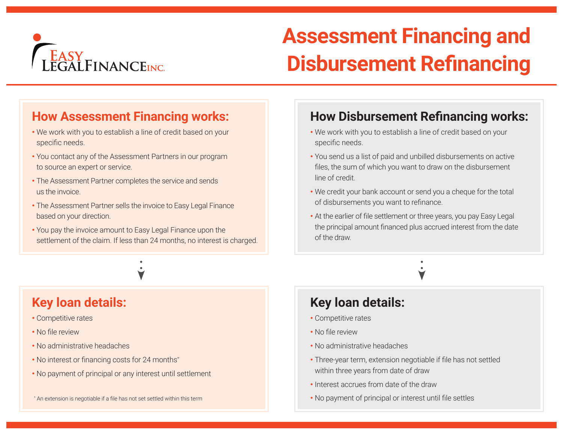

# **Assessment Financing and Disbursement Refinancing**

# **How Assessment Financing works:**

- We work with you to establish a line of credit based on your specific needs.
- You contact any of the Assessment Partners in our program to source an expert or service.
- The Assessment Partner completes the service and sends us the invoice.
- The Assessment Partner sells the invoice to Easy Legal Finance based on your direction.
- You pay the invoice amount to Easy Legal Finance upon the settlement of the claim. If less than 24 months, no interest is charged.

## **Key loan details:**

- Competitive rates
- No file review
- No administrative headaches
- No interest or financing costs for 24 months\*
- No payment of principal or any interest until settlement

#### \* An extension is negotiable if a file has not set settled within this term

# **How Disbursement Refinancing works:**

- We work with you to establish a line of credit based on your specific needs.
- You send us a list of paid and unbilled disbursements on active files, the sum of which you want to draw on the disbursement line of credit.
- We credit your bank account or send you a cheque for the total of disbursements you want to refinance.
- At the earlier of file settlement or three years, you pay Easy Legal the principal amount financed plus accrued interest from the date of the draw.

## **Key loan details:**

- Competitive rates
- No file review
- No administrative headaches
- Three-year term, extension negotiable if file has not settled within three years from date of draw
- Interest accrues from date of the draw
- No payment of principal or interest until file settles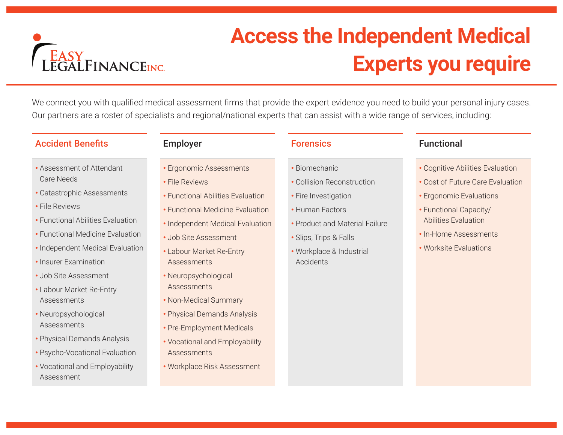

# **Access the Independent Medical Experts you require**

We connect you with qualified medical assessment firms that provide the expert evidence you need to build your personal injury cases. Our partners are a roster of specialists and regional/national experts that can assist with a wide range of services, including:

### Accident Benefits **Employer** Employer **Forensics** Functional

- 
- Assessment of Attendant Care Needs
- Catastrophic Assessments
- File Reviews
- Functional Abilities Evaluation
- Functional Medicine Evaluation
- Independent Medical Evaluation
- Insurer Examination
- Job Site Assessment
- Labour Market Re-Entry **Assessments**
- Neuropsychological Assessments
- Physical Demands Analysis
- Psycho-Vocational Evaluation
- Vocational and Employability Assessment

- Ergonomic Assessments
- File Reviews
- Functional Abilities Evaluation
- Functional Medicine Evaluation
- Independent Medical Evaluation
- Job Site Assessment
- Labour Market Re-Entry **Assessments**
- Neuropsychological **Assessments**
- Non-Medical Summary
- Physical Demands Analysis
- Pre-Employment Medicals
- Vocational and Employability **Assessments**
- Workplace Risk Assessment

- Biomechanic
- Collision Reconstruction
- Fire Investigation
- Human Factors
- Product and Material Failure
- Slips, Trips & Falls
- Workplace & Industrial Accidents

- Cognitive Abilities Evaluation
- Cost of Future Care Evaluation
- Ergonomic Evaluations
- Functional Capacity/ Abilities Evaluation
- In-Home Assessments
- Worksite Evaluations